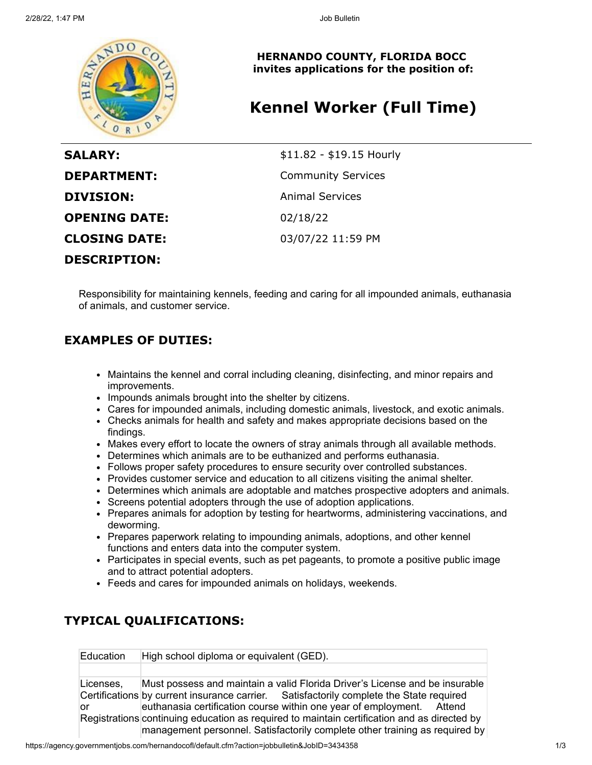

**HERNANDO COUNTY, FLORIDA BOCC invites applications for the position of:**

# **Kennel Worker (Full Time)**

| <b>SALARY:</b>       | \$11.82 - \$19.15 Hourly  |
|----------------------|---------------------------|
| <b>DEPARTMENT:</b>   | <b>Community Services</b> |
| <b>DIVISION:</b>     | <b>Animal Services</b>    |
| <b>OPENING DATE:</b> | 02/18/22                  |
| <b>CLOSING DATE:</b> | 03/07/22 11:59 PM         |
| <b>DESCRIPTION:</b>  |                           |

Responsibility for maintaining kennels, feeding and caring for all impounded animals, euthanasia of animals, and customer service.

### **EXAMPLES OF DUTIES:**

- Maintains the kennel and corral including cleaning, disinfecting, and minor repairs and improvements.
- Impounds animals brought into the shelter by citizens.
- Cares for impounded animals, including domestic animals, livestock, and exotic animals.
- Checks animals for health and safety and makes appropriate decisions based on the findings.
- Makes every effort to locate the owners of stray animals through all available methods.
- Determines which animals are to be euthanized and performs euthanasia.
- Follows proper safety procedures to ensure security over controlled substances.
- Provides customer service and education to all citizens visiting the animal shelter.
- Determines which animals are adoptable and matches prospective adopters and animals.
- Screens potential adopters through the use of adoption applications.
- Prepares animals for adoption by testing for heartworms, administering vaccinations, and deworming.
- Prepares paperwork relating to impounding animals, adoptions, and other kennel functions and enters data into the computer system.
- Participates in special events, such as pet pageants, to promote a positive public image and to attract potential adopters.
- Feeds and cares for impounded animals on holidays, weekends.

## **TYPICAL QUALIFICATIONS:**

Education High school diploma or equivalent (GED).

Licenses, Certifications by current insurance carrier. or Registrations continuing education as required to maintain certification and as directed by Must possess and maintain a valid Florida Driver's License and be insurable Satisfactorily complete the State required. euthanasia certification course within one year of employment. Attend management personnel. Satisfactorily complete other training as required by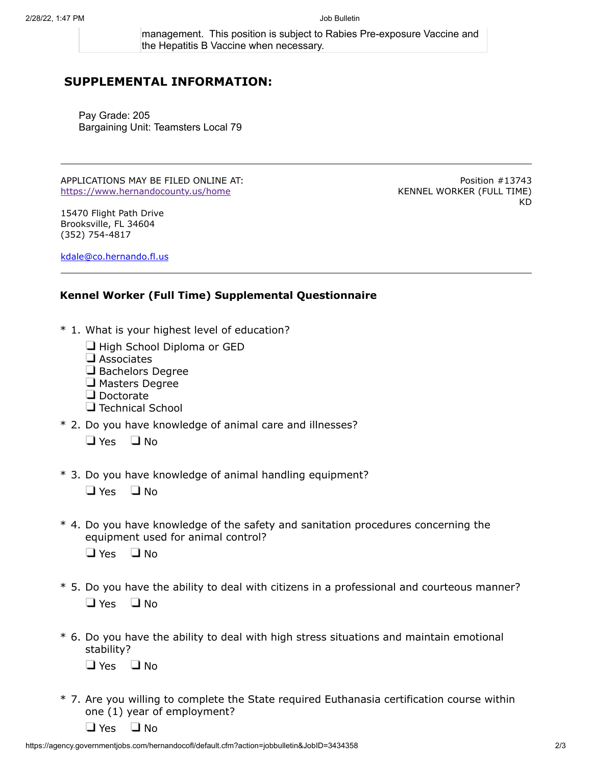management. This position is subject to Rabies Pre-exposure Vaccine and the Hepatitis B Vaccine when necessary.

### **SUPPLEMENTAL INFORMATION:**

Pay Grade: 205 Bargaining Unit: Teamsters Local 79

APPLICATIONS MAY BE FILED ONLINE AT: <https://www.hernandocounty.us/home>

15470 Flight Path Drive Brooksville, FL 34604 (352) 754-4817

Position #13743 KENNEL WORKER (FULL TIME) KD

[kdale@co.hernando.fl.us](mailto:kdale@co.hernando.fl.us)

#### **Kennel Worker (Full Time) Supplemental Questionnaire**

- \* 1. What is your highest level of education?
	- $\Box$  High School Diploma or GED
	- $\square$  Associates
	- $\Box$  Bachelors Degree
	- **J** Masters Degree
	- Doctorate
	- $\Box$  Technical School
- \* 2. Do you have knowledge of animal care and illnesses?
	- $\Box$  Yes  $\Box$  No
- \* 3. Do you have knowledge of animal handling equipment?
	- $\Box$  Yes  $\Box$  No
- \* 4. Do you have knowledge of the safety and sanitation procedures concerning the equipment used for animal control?
	- $\Box$  Yes  $\Box$  No
- \* 5. Do you have the ability to deal with citizens in a professional and courteous manner?  $\Box$  Yes  $\Box$  No
- \* 6. Do you have the ability to deal with high stress situations and maintain emotional stability?  $\Box$  Yes  $\Box$  No
- \* 7. Are you willing to complete the State required Euthanasia certification course within one (1) year of employment?

 $\Box$  Yes  $\Box$  No